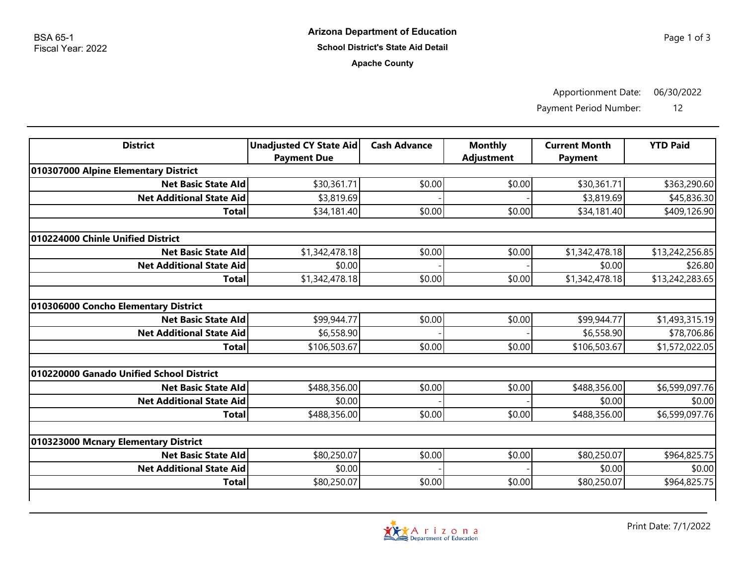**Apache County**

Apportionment Date: 06/30/2022

Payment Period Number: 12

| <b>District</b>                          | <b>Unadjusted CY State Aid</b><br><b>Payment Due</b> | <b>Cash Advance</b> | <b>Monthly</b><br><b>Adjustment</b> | <b>Current Month</b><br><b>Payment</b> | <b>YTD Paid</b> |  |  |  |
|------------------------------------------|------------------------------------------------------|---------------------|-------------------------------------|----------------------------------------|-----------------|--|--|--|
| 010307000 Alpine Elementary District     |                                                      |                     |                                     |                                        |                 |  |  |  |
| <b>Net Basic State Ald</b>               | \$30,361.71                                          | \$0.00              | \$0.00                              | \$30,361.71                            | \$363,290.60    |  |  |  |
| <b>Net Additional State Aid</b>          | \$3,819.69                                           |                     |                                     | \$3,819.69                             | \$45,836.30     |  |  |  |
| <b>Total</b>                             | \$34,181.40                                          | \$0.00              | \$0.00                              | \$34,181.40                            | \$409,126.90    |  |  |  |
| 010224000 Chinle Unified District        |                                                      |                     |                                     |                                        |                 |  |  |  |
| <b>Net Basic State Ald</b>               | \$1,342,478.18                                       | \$0.00              | \$0.00                              | \$1,342,478.18                         | \$13,242,256.85 |  |  |  |
| <b>Net Additional State Aid</b>          | \$0.00                                               |                     |                                     | \$0.00                                 | \$26.80         |  |  |  |
| <b>Total</b>                             | \$1,342,478.18                                       | \$0.00              | \$0.00                              | \$1,342,478.18                         | \$13,242,283.65 |  |  |  |
|                                          |                                                      |                     |                                     |                                        |                 |  |  |  |
| 010306000 Concho Elementary District     |                                                      |                     |                                     |                                        |                 |  |  |  |
| <b>Net Basic State Ald</b>               | \$99,944.77                                          | \$0.00              | \$0.00                              | \$99,944.77                            | \$1,493,315.19  |  |  |  |
| <b>Net Additional State Aid</b>          | \$6,558.90                                           |                     |                                     | \$6,558.90                             | \$78,706.86     |  |  |  |
| Total                                    | \$106,503.67                                         | \$0.00              | \$0.00                              | \$106,503.67                           | \$1,572,022.05  |  |  |  |
| 010220000 Ganado Unified School District |                                                      |                     |                                     |                                        |                 |  |  |  |
| <b>Net Basic State Ald</b>               | \$488,356.00                                         | \$0.00              | \$0.00                              | \$488,356.00                           | \$6,599,097.76  |  |  |  |
| <b>Net Additional State Aid</b>          | \$0.00                                               |                     |                                     | \$0.00                                 | \$0.00          |  |  |  |
| <b>Total</b>                             | \$488,356.00                                         | \$0.00              | \$0.00                              | \$488,356.00                           | \$6,599,097.76  |  |  |  |
|                                          |                                                      |                     |                                     |                                        |                 |  |  |  |
| 010323000 Mcnary Elementary District     |                                                      |                     |                                     |                                        |                 |  |  |  |
| <b>Net Basic State Ald</b>               | \$80,250.07                                          | \$0.00              | \$0.00                              | \$80,250.07                            | \$964,825.75    |  |  |  |
| <b>Net Additional State Aid</b>          | \$0.00                                               |                     |                                     | \$0.00                                 | \$0.00          |  |  |  |
| <b>Total</b>                             | \$80,250.07                                          | \$0.00              | \$0.00                              | \$80,250.07                            | \$964,825.75    |  |  |  |

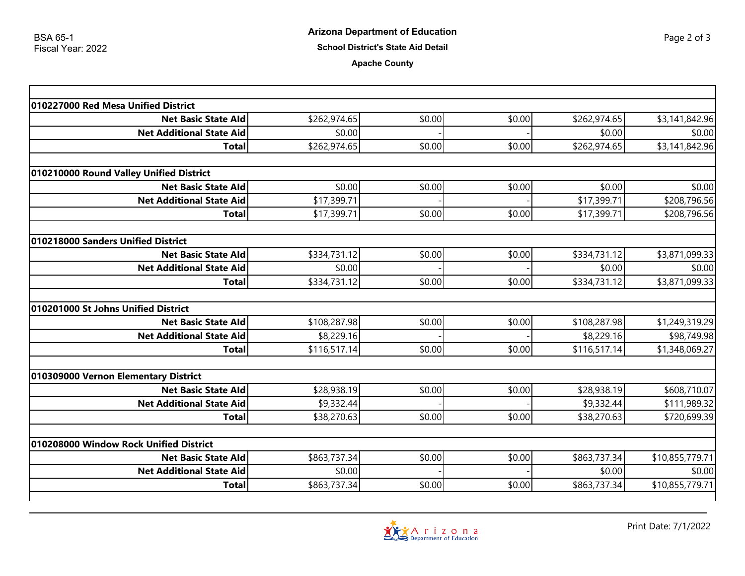## **Apache County**

| 010227000 Red Mesa Unified District     |              |        |        |              |                              |
|-----------------------------------------|--------------|--------|--------|--------------|------------------------------|
| <b>Net Basic State Ald</b>              | \$262,974.65 | \$0.00 | \$0.00 | \$262,974.65 | \$3,141,842.96               |
| <b>Net Additional State Aid</b>         | \$0.00       |        |        | \$0.00       | \$0.00                       |
| <b>Total</b>                            | \$262,974.65 | \$0.00 | \$0.00 | \$262,974.65 | \$3,141,842.96               |
| 010210000 Round Valley Unified District |              |        |        |              |                              |
| <b>Net Basic State Ald</b>              | \$0.00       | \$0.00 | \$0.00 | \$0.00       | \$0.00                       |
| <b>Net Additional State Aid</b>         |              |        |        | \$17,399.71  |                              |
| <b>Total</b>                            | \$17,399.71  | \$0.00 | \$0.00 | \$17,399.71  | \$208,796.56<br>\$208,796.56 |
|                                         | \$17,399.71  |        |        |              |                              |
| 010218000 Sanders Unified District      |              |        |        |              |                              |
| <b>Net Basic State Ald</b>              | \$334,731.12 | \$0.00 | \$0.00 | \$334,731.12 | \$3,871,099.33               |
| <b>Net Additional State Aid</b>         | \$0.00       |        |        | \$0.00       | \$0.00                       |
| <b>Total</b>                            | \$334,731.12 | \$0.00 | \$0.00 | \$334,731.12 | \$3,871,099.33               |
| 010201000 St Johns Unified District     |              |        |        |              |                              |
| <b>Net Basic State Ald</b>              | \$108,287.98 | \$0.00 | \$0.00 | \$108,287.98 | \$1,249,319.29               |
| <b>Net Additional State Aid</b>         | \$8,229.16   |        |        | \$8,229.16   | \$98,749.98                  |
| <b>Total</b>                            | \$116,517.14 | \$0.00 | \$0.00 | \$116,517.14 | \$1,348,069.27               |
|                                         |              |        |        |              |                              |
| 010309000 Vernon Elementary District    |              |        |        |              |                              |
| <b>Net Basic State Ald</b>              | \$28,938.19  | \$0.00 | \$0.00 | \$28,938.19  | \$608,710.07                 |
| <b>Net Additional State Aid</b>         | \$9,332.44   |        |        | \$9,332.44   | \$111,989.32                 |
| <b>Total</b>                            | \$38,270.63  | \$0.00 | \$0.00 | \$38,270.63  | \$720,699.39                 |
| 010208000 Window Rock Unified District  |              |        |        |              |                              |
| <b>Net Basic State Ald</b>              | \$863,737.34 | \$0.00 | \$0.00 | \$863,737.34 | \$10,855,779.71              |
| <b>Net Additional State Aid</b>         | \$0.00       |        |        | \$0.00       | \$0.00                       |
| <b>Total</b>                            | \$863,737.34 | \$0.00 | \$0.00 | \$863,737.34 | \$10,855,779.71              |